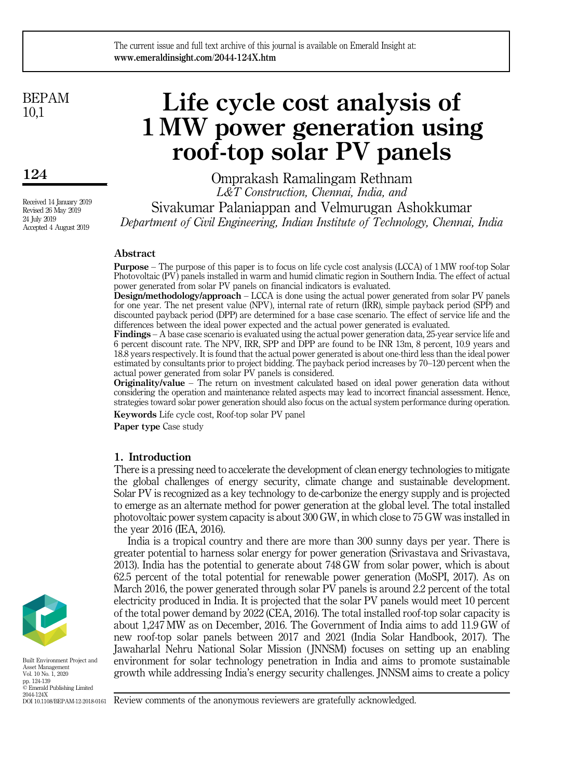BEPAM 10,1

# 124

Received 14 January 2019 Revised 26 May 2019 24 July 2019 Accepted 4 August 2019

# Life cycle cost analysis of 1 MW power generation using roof-top solar PV panels

Omprakash Ramalingam Rethnam *L&T Construction, Chennai, India, and* Sivakumar Palaniappan and Velmurugan Ashokkumar *Department of Civil Engineering, Indian Institute of Technology, Chennai, India*

# Abstract

Purpose – The purpose of this paper is to focus on life cycle cost analysis (LCCA) of 1 MW roof-top Solar Photovoltaic (PV) panels installed in warm and humid climatic region in Southern India. The effect of actual power generated from solar PV panels on financial indicators is evaluated.

**Design/methodology/approach** – LCCA is done using the actual power generated from solar PV panels for one year. The net present value (NPV), internal rate of return (IRR), simple payback period (SPP) and discounted payback period (DPP) are determined for a base case scenario. The effect of service life and the differences between the ideal power expected and the actual power generated is evaluated.

Findings – A base case scenario is evaluated using the actual power generation data, 25-year service life and 6 percent discount rate. The NPV, IRR, SPP and DPP are found to be INR 13m, 8 percent, 10.9 years and 18.8 years respectively. It is found that the actual power generated is about one-third less than the ideal power estimated by consultants prior to project bidding. The payback period increases by 70–120 percent when the actual power generated from solar PV panels is considered.

Originality/value – The return on investment calculated based on ideal power generation data without considering the operation and maintenance related aspects may lead to incorrect financial assessment. Hence, strategies toward solar power generation should also focus on the actual system performance during operation.

Keywords Life cycle cost, Roof-top solar PV panel

Paper type Case study

# 1. Introduction

There is a pressing need to accelerate the development of clean energy technologies to mitigate the global challenges of energy security, climate change and sustainable development. Solar PV is recognized as a key technology to de-carbonize the energy supply and is projected to emerge as an alternate method for power generation at the global level. The total installed photovoltaic power system capacity is about 300 GW, in which close to 75 GW was installed in the year 2016 (IEA, 2016).

India is a tropical country and there are more than 300 sunny days per year. There is greater potential to harness solar energy for power generation (Srivastava and Srivastava, 2013). India has the potential to generate about 748 GW from solar power, which is about 62.5 percent of the total potential for renewable power generation (MoSPI, 2017). As on March 2016, the power generated through solar PV panels is around 2.2 percent of the total electricity produced in India. It is projected that the solar PV panels would meet 10 percent of the total power demand by 2022 (CEA, 2016). The total installed roof-top solar capacity is about 1,247 MW as on December, 2016. The Government of India aims to add 11.9 GW of new roof-top solar panels between 2017 and 2021 (India Solar Handbook, 2017). The Jawaharlal Nehru National Solar Mission ( JNNSM) focuses on setting up an enabling environment for solar technology penetration in India and aims to promote sustainable growth while addressing India's energy security challenges. JNNSM aims to create a policy



Built Environment Project and Asset Management Vol. 10 No. 1, 2020 pp. 124-139 © Emerald Publishing Limited 2044-124X DOI 10.1108/BEPAM-12-2018-0161

Review comments of the anonymous reviewers are gratefully acknowledged.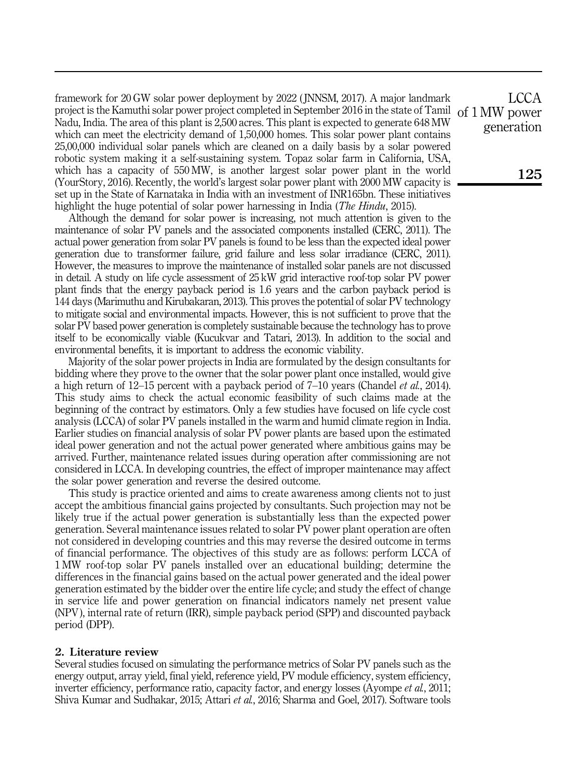framework for 20 GW solar power deployment by 2022 ( JNNSM, 2017). A major landmark project is the Kamuthi solar power project completed in September 2016 in the state of Tamil Nadu, India. The area of this plant is 2,500 acres. This plant is expected to generate 648 MW which can meet the electricity demand of 1,50,000 homes. This solar power plant contains 25,00,000 individual solar panels which are cleaned on a daily basis by a solar powered robotic system making it a self-sustaining system. Topaz solar farm in California, USA, which has a capacity of 550 MW, is another largest solar power plant in the world (YourStory, 2016). Recently, the world's largest solar power plant with 2000 MW capacity is set up in the State of Karnataka in India with an investment of INR165bn. These initiatives highlight the huge potential of solar power harnessing in India (*The Hindu*, 2015).

Although the demand for solar power is increasing, not much attention is given to the maintenance of solar PV panels and the associated components installed (CERC, 2011). The actual power generation from solar PV panels is found to be less than the expected ideal power generation due to transformer failure, grid failure and less solar irradiance (CERC, 2011). However, the measures to improve the maintenance of installed solar panels are not discussed in detail. A study on life cycle assessment of 25 kW grid interactive roof-top solar PV power plant finds that the energy payback period is 1.6 years and the carbon payback period is 144 days (Marimuthu and Kirubakaran, 2013). This proves the potential of solar PV technology to mitigate social and environmental impacts. However, this is not sufficient to prove that the solar PV based power generation is completely sustainable because the technology has to prove itself to be economically viable (Kucukvar and Tatari, 2013). In addition to the social and environmental benefits, it is important to address the economic viability.

Majority of the solar power projects in India are formulated by the design consultants for bidding where they prove to the owner that the solar power plant once installed, would give a high return of 12–15 percent with a payback period of 7–10 years (Chandel *et al.*, 2014). This study aims to check the actual economic feasibility of such claims made at the beginning of the contract by estimators. Only a few studies have focused on life cycle cost analysis (LCCA) of solar PV panels installed in the warm and humid climate region in India. Earlier studies on financial analysis of solar PV power plants are based upon the estimated ideal power generation and not the actual power generated where ambitious gains may be arrived. Further, maintenance related issues during operation after commissioning are not considered in LCCA. In developing countries, the effect of improper maintenance may affect the solar power generation and reverse the desired outcome.

This study is practice oriented and aims to create awareness among clients not to just accept the ambitious financial gains projected by consultants. Such projection may not be likely true if the actual power generation is substantially less than the expected power generation. Several maintenance issues related to solar PV power plant operation are often not considered in developing countries and this may reverse the desired outcome in terms of financial performance. The objectives of this study are as follows: perform LCCA of 1 MW roof-top solar PV panels installed over an educational building; determine the differences in the financial gains based on the actual power generated and the ideal power generation estimated by the bidder over the entire life cycle; and study the effect of change in service life and power generation on financial indicators namely net present value (NPV), internal rate of return (IRR), simple payback period (SPP) and discounted payback period (DPP).

# 2. Literature review

Several studies focused on simulating the performance metrics of Solar PV panels such as the energy output, array yield, final yield, reference yield, PV module efficiency, system efficiency, inverter efficiency, performance ratio, capacity factor, and energy losses (Ayompe *et al.*, 2011; Shiva Kumar and Sudhakar, 2015; Attari *et al.*, 2016; Sharma and Goel, 2017). Software tools

**LCCA** of 1 MW power generation

125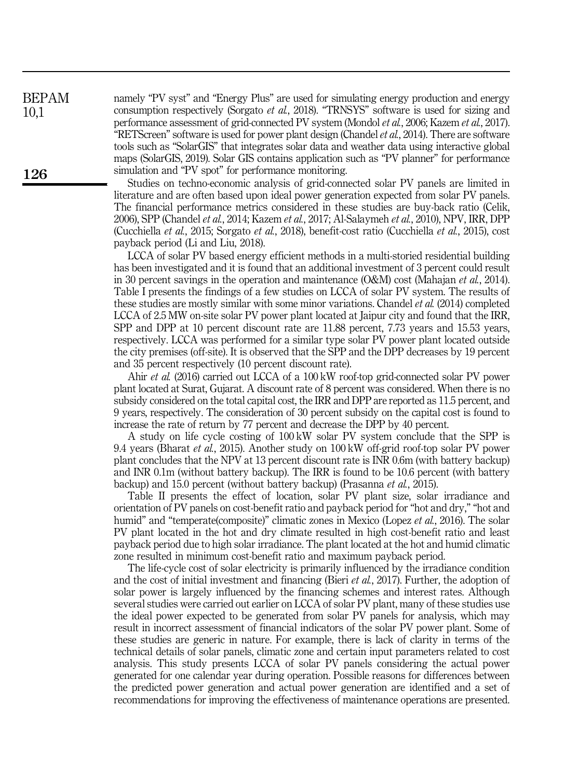namely "PV syst" and "Energy Plus" are used for simulating energy production and energy consumption respectively (Sorgato *et al.*, 2018). "TRNSYS" software is used for sizing and performance assessment of grid-connected PV system (Mondol *et al.*, 2006; Kazem *et al.*, 2017). "RETScreen" software is used for power plant design (Chandel*et al.*, 2014). There are software tools such as "SolarGIS" that integrates solar data and weather data using interactive global maps (SolarGIS, 2019). Solar GIS contains application such as "PV planner" for performance simulation and "PV spot" for performance monitoring.

Studies on techno-economic analysis of grid-connected solar PV panels are limited in literature and are often based upon ideal power generation expected from solar PV panels. The financial performance metrics considered in these studies are buy-back ratio (Celik, 2006), SPP (Chandel *et al.*, 2014; Kazem *et al.*, 2017; Al-Salaymeh *et al.*, 2010), NPV, IRR, DPP (Cucchiella *et al.*, 2015; Sorgato *et al.*, 2018), benefit-cost ratio (Cucchiella *et al.*, 2015), cost payback period (Li and Liu, 2018).

LCCA of solar PV based energy efficient methods in a multi-storied residential building has been investigated and it is found that an additional investment of 3 percent could result in 30 percent savings in the operation and maintenance (O&M) cost (Mahajan *et al.*, 2014). Table I presents the findings of a few studies on LCCA of solar PV system. The results of these studies are mostly similar with some minor variations. Chandel *et al.* (2014) completed LCCA of 2.5 MW on-site solar PV power plant located at Jaipur city and found that the IRR, SPP and DPP at 10 percent discount rate are 11.88 percent, 7.73 years and 15.53 years, respectively. LCCA was performed for a similar type solar PV power plant located outside the city premises (off-site). It is observed that the SPP and the DPP decreases by 19 percent and 35 percent respectively (10 percent discount rate).

Ahir *et al.* (2016) carried out LCCA of a 100 kW roof-top grid-connected solar PV power plant located at Surat, Gujarat. A discount rate of 8 percent was considered. When there is no subsidy considered on the total capital cost, the IRR and DPP are reported as 11.5 percent, and 9 years, respectively. The consideration of 30 percent subsidy on the capital cost is found to increase the rate of return by 77 percent and decrease the DPP by 40 percent.

A study on life cycle costing of 100 kW solar PV system conclude that the SPP is 9.4 years (Bharat *et al.*, 2015). Another study on 100 kW off-grid roof-top solar PV power plant concludes that the NPV at 13 percent discount rate is INR 0.6m (with battery backup) and INR 0.1m (without battery backup). The IRR is found to be 10.6 percent (with battery backup) and 15.0 percent (without battery backup) (Prasanna *et al.*, 2015).

Table II presents the effect of location, solar PV plant size, solar irradiance and orientation of PV panels on cost-benefit ratio and payback period for "hot and dry," "hot and humid" and "temperate(composite)" climatic zones in Mexico (Lopez *et al.*, 2016). The solar PV plant located in the hot and dry climate resulted in high cost-benefit ratio and least payback period due to high solar irradiance. The plant located at the hot and humid climatic zone resulted in minimum cost-benefit ratio and maximum payback period.

The life-cycle cost of solar electricity is primarily influenced by the irradiance condition and the cost of initial investment and financing (Bieri *et al.*, 2017). Further, the adoption of solar power is largely influenced by the financing schemes and interest rates. Although several studies were carried out earlier on LCCA of solar PV plant, many of these studies use the ideal power expected to be generated from solar PV panels for analysis, which may result in incorrect assessment of financial indicators of the solar PV power plant. Some of these studies are generic in nature. For example, there is lack of clarity in terms of the technical details of solar panels, climatic zone and certain input parameters related to cost analysis. This study presents LCCA of solar PV panels considering the actual power generated for one calendar year during operation. Possible reasons for differences between the predicted power generation and actual power generation are identified and a set of recommendations for improving the effectiveness of maintenance operations are presented.

BEPAM 10,1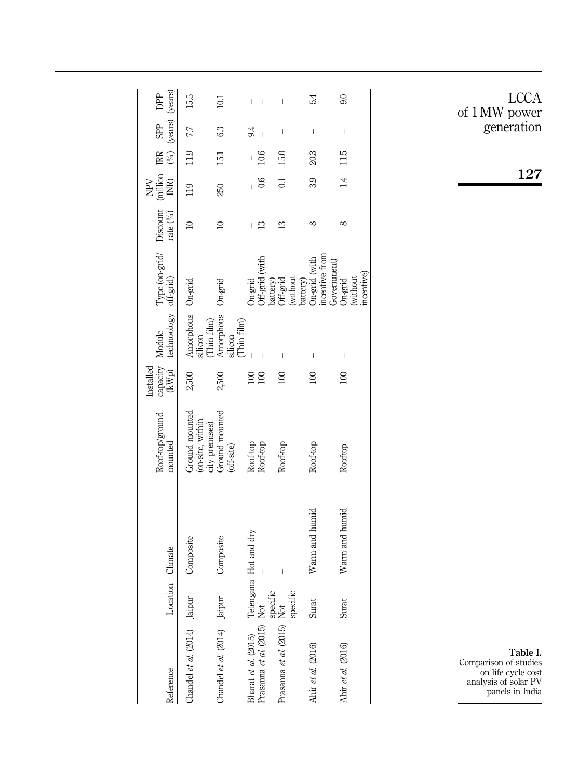|                                                                                         |                  |                          | Roof-top/ground                                      | capacity Module<br>Installed |                                             | Type (on-grid/ Discount (million IRR           |            | Ř          |          | SPP<br>C                                                                                                                                                                                                                                                                                                                                                                         | DPP  |
|-----------------------------------------------------------------------------------------|------------------|--------------------------|------------------------------------------------------|------------------------------|---------------------------------------------|------------------------------------------------|------------|------------|----------|----------------------------------------------------------------------------------------------------------------------------------------------------------------------------------------------------------------------------------------------------------------------------------------------------------------------------------------------------------------------------------|------|
| Reference                                                                               | Location Climate |                          | mounted                                              | (kWp)                        | technoology off-grid)                       |                                                | rate (%)   | INR)       |          | $(%)$ (years) (years)                                                                                                                                                                                                                                                                                                                                                            |      |
| Chandel et al. (2014) Jaipur                                                            |                  | Composite                | Ground mounted<br>(on-site, within<br>city premises) | 2,500                        | Amorphous On-grid<br>silicon<br>(Thin film) |                                                | $\approx$  | 119        | 11.9 7.7 |                                                                                                                                                                                                                                                                                                                                                                                  | 15.5 |
| Chandel et al. (2014)                                                                   | Jaipur           | Composite                | Ground mounted<br>(off-site)                         | 2,500                        | Amorphous<br>Thin film)<br>silicon          | On-grid                                        | $\approx$  | 250        | 15.1     | 63                                                                                                                                                                                                                                                                                                                                                                               | 101  |
| Bharat et al. (2015)                                                                    |                  |                          | Roof-top                                             | 100                          |                                             | On-grid                                        |            |            |          | 9.4                                                                                                                                                                                                                                                                                                                                                                              |      |
| Bharat <i>et al.</i> (2015) Telengana Hot and dry Prasanna <i>et al.</i> (2015) Not $-$ |                  |                          | Roof-top                                             | 100                          |                                             | Off-grid (with                                 | ≌          | 0.6        | 10.6     |                                                                                                                                                                                                                                                                                                                                                                                  | I    |
| specific<br>Prasanna et al. (2015) Not                                                  | specific         | $\overline{\phantom{a}}$ | Roof-top                                             | $\approx$                    |                                             | without<br>battery)<br>Off-grid<br>battery)    | ≌          | $\Xi$      | 15.0     | $\overline{\phantom{a}}$                                                                                                                                                                                                                                                                                                                                                         | I    |
| Ahir et al. (2016)                                                                      | Surat            | Warm and humid           | Roof-top                                             | 100                          | $\overline{1}$                              | incentive from<br>On-grid (with<br>Government) | $\infty$   | 3.9        | 20.3     | $\begin{array}{c} \rule{0pt}{2.5ex} \rule{0pt}{2.5ex} \rule{0pt}{2.5ex} \rule{0pt}{2.5ex} \rule{0pt}{2.5ex} \rule{0pt}{2.5ex} \rule{0pt}{2.5ex} \rule{0pt}{2.5ex} \rule{0pt}{2.5ex} \rule{0pt}{2.5ex} \rule{0pt}{2.5ex} \rule{0pt}{2.5ex} \rule{0pt}{2.5ex} \rule{0pt}{2.5ex} \rule{0pt}{2.5ex} \rule{0pt}{2.5ex} \rule{0pt}{2.5ex} \rule{0pt}{2.5ex} \rule{0pt}{2.5ex} \rule{0$ | 54   |
| Ahir et al. (2016)                                                                      | Surat            | Warm and humid           | Rooftop                                              | 100                          |                                             | mcentive)<br>(without<br>On-grid               | $^{\circ}$ | $\ddot{=}$ | 115      | I                                                                                                                                                                                                                                                                                                                                                                                | 9.0  |
|                                                                                         |                  |                          |                                                      |                              |                                             |                                                |            |            |          |                                                                                                                                                                                                                                                                                                                                                                                  |      |

LCCA of 1 MW power generation

127

Table I. Comparison of studies on life cycle cost analysis of solar PV panels in India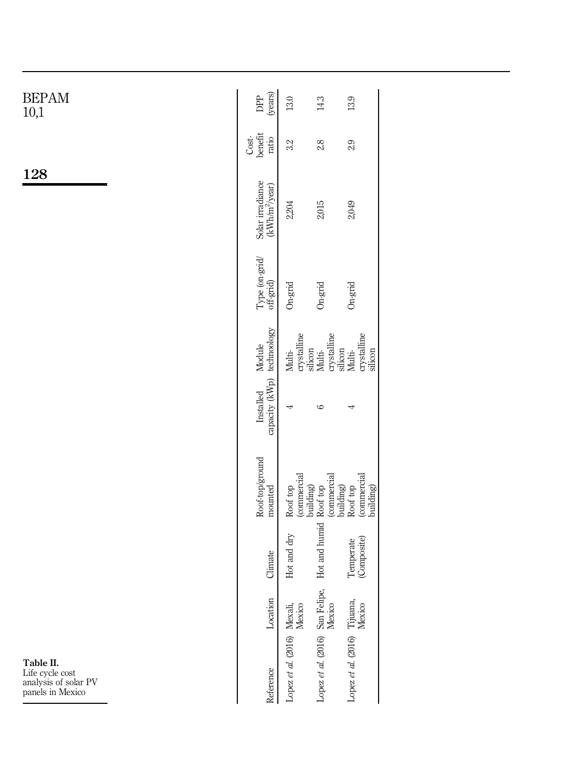| <b>BEPAM</b><br>10,1                                                     | (years)<br>DPP<br>13.0<br>14.3<br>13.9                                                                                                             |
|--------------------------------------------------------------------------|----------------------------------------------------------------------------------------------------------------------------------------------------|
|                                                                          | benefit<br>$Cost-$<br>ratio<br>3.2<br>2.8<br>2.9                                                                                                   |
| 128                                                                      | Solar irradiance<br>(kWh/m <sup>2</sup> /year)<br>2,015<br>2,049<br>2,204                                                                          |
|                                                                          | $\begin{array}{l} {\rm Type\ (on\text{-}grid)}\\ {\rm off\text{-}grid)} \end{array}$<br>On-grid<br>$On\text{-}\mathrm{grid}$<br>On-grid            |
|                                                                          | technoology<br>crystalline<br>crystalline<br>crystalline<br>Module<br>silicon<br>silicon<br>silicon<br>Multi-<br>Multi-<br>Multi-                  |
|                                                                          | capacity (kWp)<br>Installed<br>$\circ$<br>4<br>₹                                                                                                   |
|                                                                          | Roof-top/ground<br>(commercial<br>(commercial<br>building)<br>(commercial<br>building)<br>Roof top<br>building)<br>Roof top<br>Roof top<br>mounted |
|                                                                          | Hot and humid<br>Hot and dry<br>(Composite)<br>Temperate<br>Climate                                                                                |
|                                                                          | Location                                                                                                                                           |
| Table II.<br>Life cycle cost<br>analysis of solar PV<br>panels in Mexico | Lopez et al. (2016) San Felipe,<br>Mexico<br>Lopez et al. (2016) Tijuana,<br>Mexico<br>Lopez et al. (2016) Mexali,<br>Mexico<br>Reference          |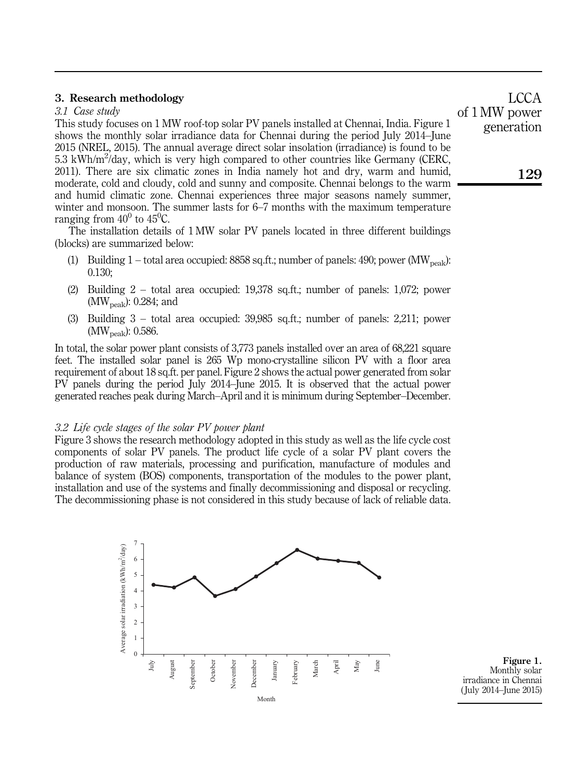# 3. Research methodology

# *3.1 Case study*

This study focuses on 1 MW roof-top solar PV panels installed at Chennai, India. Figure 1 shows the monthly solar irradiance data for Chennai during the period July 2014–June 2015 (NREL, 2015). The annual average direct solar insolation (irradiance) is found to be 5.3 kWh/m<sup>2</sup>/day, which is very high compared to other countries like Germany (CERC, 2011). There are six climatic zones in India namely hot and dry, warm and humid, moderate, cold and cloudy, cold and sunny and composite. Chennai belongs to the warm and humid climatic zone. Chennai experiences three major seasons namely summer, winter and monsoon. The summer lasts for 6–7 months with the maximum temperature ranging from  $40^0$  to  $45^0C$ .

The installation details of 1 MW solar PV panels located in three different buildings (blocks) are summarized below:

- (1) Building 1 total area occupied: 8858 sq.ft.; number of panels: 490; power (MW<sub>peak</sub>): 0.130;
- (2) Building 2 total area occupied: 19,378 sq.ft.; number of panels: 1,072; power  $(MW_{peak})$ : 0.284; and
- (3) Building 3 total area occupied: 39,985 sq.ft.; number of panels: 2,211; power  $(MW_{peak})$ : 0.586.

In total, the solar power plant consists of 3.773 panels installed over an area of 68.221 square feet. The installed solar panel is 265 Wp mono-crystalline silicon PV with a floor area requirement of about 18 sq.ft. per panel. Figure 2 shows the actual power generated from solar PV panels during the period July 2014–June 2015. It is observed that the actual power generated reaches peak during March–April and it is minimum during September–December.

#### *3.2 Life cycle stages of the solar PV power plant*

Figure 3 shows the research methodology adopted in this study as well as the life cycle cost components of solar PV panels. The product life cycle of a solar PV plant covers the production of raw materials, processing and purification, manufacture of modules and balance of system (BOS) components, transportation of the modules to the power plant, installation and use of the systems and finally decommissioning and disposal or recycling. The decommissioning phase is not considered in this study because of lack of reliable data.

> $\theta$ 1 2 3 4 5 6 7 July August September October November **December** January February March April May June Average solar irradiation (kWh/m Average solar irradiation (kWh/m<sup>2</sup>/day) Month

Figure 1. Monthly solar irradiance in Chennai ( July 2014–June 2015)

**LCCA** of 1 MW power generation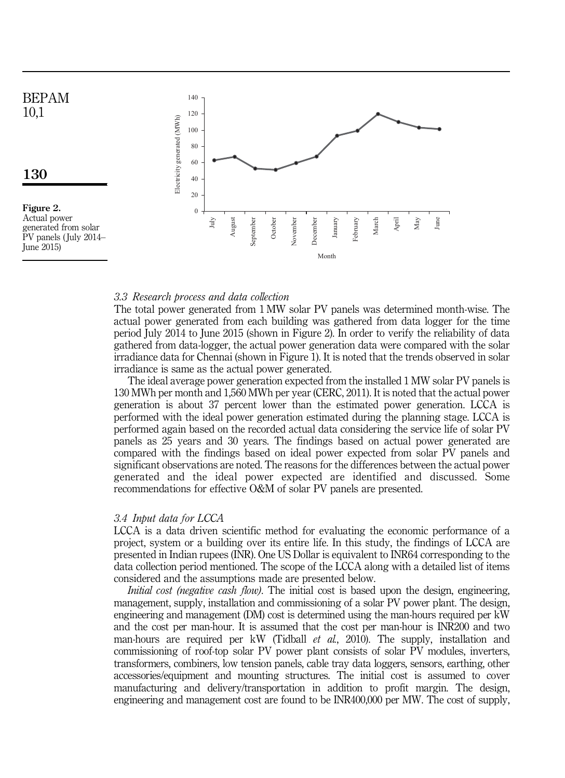

### *3.3 Research process and data collection*

The total power generated from 1 MW solar PV panels was determined month-wise. The actual power generated from each building was gathered from data logger for the time period July 2014 to June 2015 (shown in Figure 2). In order to verify the reliability of data gathered from data-logger, the actual power generation data were compared with the solar irradiance data for Chennai (shown in Figure 1). It is noted that the trends observed in solar irradiance is same as the actual power generated.

The ideal average power generation expected from the installed 1 MW solar PV panels is 130 MWh per month and 1,560 MWh per year (CERC, 2011). It is noted that the actual power generation is about 37 percent lower than the estimated power generation. LCCA is performed with the ideal power generation estimated during the planning stage. LCCA is performed again based on the recorded actual data considering the service life of solar PV panels as 25 years and 30 years. The findings based on actual power generated are compared with the findings based on ideal power expected from solar PV panels and significant observations are noted. The reasons for the differences between the actual power generated and the ideal power expected are identified and discussed. Some recommendations for effective O&M of solar PV panels are presented.

#### *3.4 Input data for LCCA*

LCCA is a data driven scientific method for evaluating the economic performance of a project, system or a building over its entire life. In this study, the findings of LCCA are presented in Indian rupees (INR). One US Dollar is equivalent to INR64 corresponding to the data collection period mentioned. The scope of the LCCA along with a detailed list of items considered and the assumptions made are presented below.

*Initial cost (negative cash flow)*. The initial cost is based upon the design, engineering, management, supply, installation and commissioning of a solar PV power plant. The design, engineering and management (DM) cost is determined using the man-hours required per kW and the cost per man-hour. It is assumed that the cost per man-hour is INR200 and two man-hours are required per kW (Tidball *et al.*, 2010). The supply, installation and commissioning of roof-top solar PV power plant consists of solar PV modules, inverters, transformers, combiners, low tension panels, cable tray data loggers, sensors, earthing, other accessories/equipment and mounting structures. The initial cost is assumed to cover manufacturing and delivery/transportation in addition to profit margin. The design, engineering and management cost are found to be INR400,000 per MW. The cost of supply,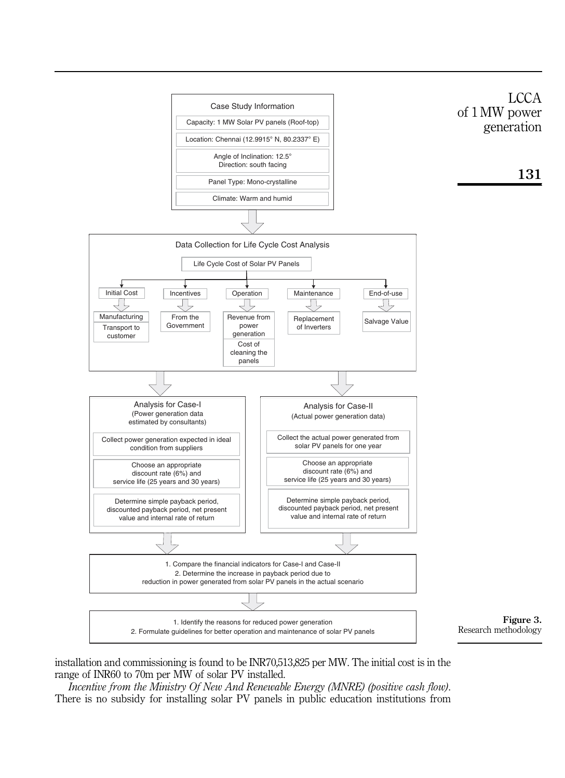

installation and commissioning is found to be INR70,513,825 per MW. The initial cost is in the range of INR60 to 70m per MW of solar PV installed.

*Incentive from the Ministry Of New And Renewable Energy (MNRE) (positive cash flow)*. There is no subsidy for installing solar PV panels in public education institutions from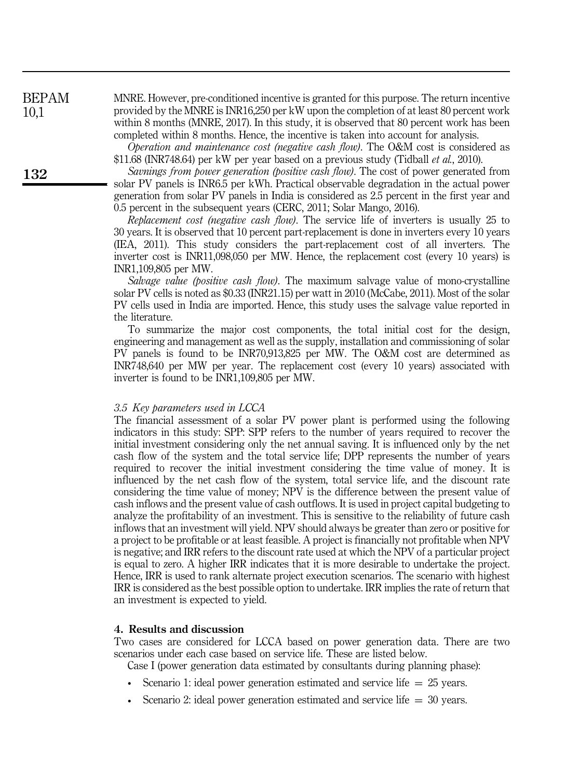MNRE. However, pre-conditioned incentive is granted for this purpose. The return incentive provided by the MNRE is INR16,250 per kW upon the completion of at least 80 percent work within 8 months (MNRE, 2017). In this study, it is observed that 80 percent work has been completed within 8 months. Hence, the incentive is taken into account for analysis.

*Operation and maintenance cost (negative cash flow)*. The O&M cost is considered as \$11.68 (INR748.64) per kW per year based on a previous study (Tidball *et al.*, 2010).

*Savnings from power generation (positive cash flow)*. The cost of power generated from solar PV panels is INR6.5 per kWh. Practical observable degradation in the actual power generation from solar PV panels in India is considered as 2.5 percent in the first year and 0.5 percent in the subsequent years (CERC, 2011; Solar Mango, 2016).

*Replacement cost (negative cash flow)*. The service life of inverters is usually 25 to 30 years. It is observed that 10 percent part-replacement is done in inverters every 10 years (IEA, 2011). This study considers the part-replacement cost of all inverters. The inverter cost is INR11,098,050 per MW. Hence, the replacement cost (every 10 years) is INR1,109,805 per MW.

*Salvage value (positive cash flow)*. The maximum salvage value of mono-crystalline solar PV cells is noted as \$0.33 (INR21.15) per watt in 2010 (McCabe, 2011). Most of the solar PV cells used in India are imported. Hence, this study uses the salvage value reported in the literature.

To summarize the major cost components, the total initial cost for the design, engineering and management as well as the supply, installation and commissioning of solar PV panels is found to be INR70,913,825 per MW. The O&M cost are determined as INR748,640 per MW per year. The replacement cost (every 10 years) associated with inverter is found to be INR1,109,805 per MW.

#### *3.5 Key parameters used in LCCA*

The financial assessment of a solar PV power plant is performed using the following indicators in this study: SPP: SPP refers to the number of years required to recover the initial investment considering only the net annual saving. It is influenced only by the net cash flow of the system and the total service life; DPP represents the number of years required to recover the initial investment considering the time value of money. It is influenced by the net cash flow of the system, total service life, and the discount rate considering the time value of money; NPV is the difference between the present value of cash inflows and the present value of cash outflows. It is used in project capital budgeting to analyze the profitability of an investment. This is sensitive to the reliability of future cash inflows that an investment will yield. NPV should always be greater than zero or positive for a project to be profitable or at least feasible. A project is financially not profitable when NPV is negative; and IRR refers to the discount rate used at which the NPV of a particular project is equal to zero. A higher IRR indicates that it is more desirable to undertake the project. Hence, IRR is used to rank alternate project execution scenarios. The scenario with highest IRR is considered as the best possible option to undertake. IRR implies the rate of return that an investment is expected to yield.

#### 4. Results and discussion

Two cases are considered for LCCA based on power generation data. There are two scenarios under each case based on service life. These are listed below.

Case I (power generation data estimated by consultants during planning phase):

- Scenario 1: ideal power generation estimated and service life  $= 25$  years.
- Scenario 2: ideal power generation estimated and service life  $= 30$  years.

BEPAM 10,1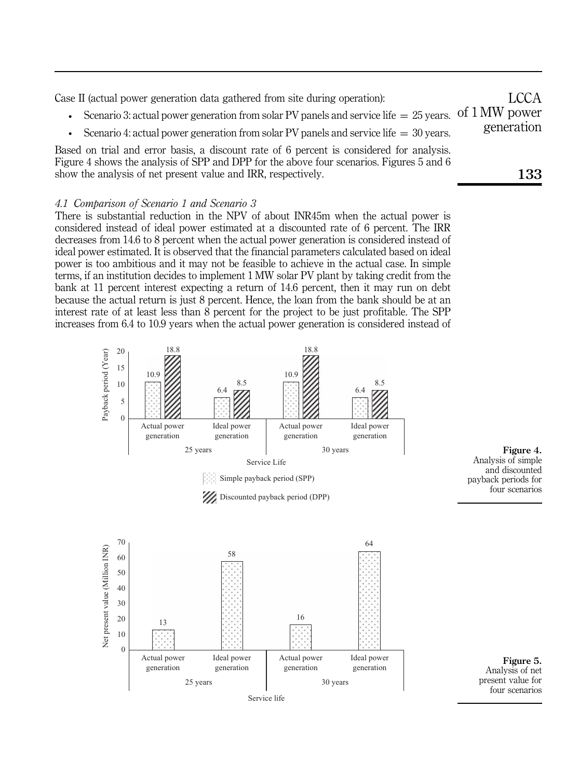Case II (actual power generation data gathered from site during operation): • Scenario 3: actual power generation from solar PV panels and service life  $=25$  years. Of 1 MW power • Scenario 4: actual power generation from solar PV panels and service life  $=$  30 years. Based on trial and error basis, a discount rate of 6 percent is considered for analysis. Figure 4 shows the analysis of SPP and DPP for the above four scenarios. Figures 5 and 6 show the analysis of net present value and IRR, respectively. 133 LCCA generation

# *4.1 Comparison of Scenario 1 and Scenario 3*

There is substantial reduction in the NPV of about INR45m when the actual power is considered instead of ideal power estimated at a discounted rate of 6 percent. The IRR decreases from 14.6 to 8 percent when the actual power generation is considered instead of ideal power estimated. It is observed that the financial parameters calculated based on ideal power is too ambitious and it may not be feasible to achieve in the actual case. In simple terms, if an institution decides to implement 1 MW solar PV plant by taking credit from the bank at 11 percent interest expecting a return of 14.6 percent, then it may run on debt because the actual return is just 8 percent. Hence, the loan from the bank should be at an interest rate of at least less than 8 percent for the project to be just profitable. The SPP increases from 6.4 to 10.9 years when the actual power generation is considered instead of





Figure 4.

and discounted

four scenarios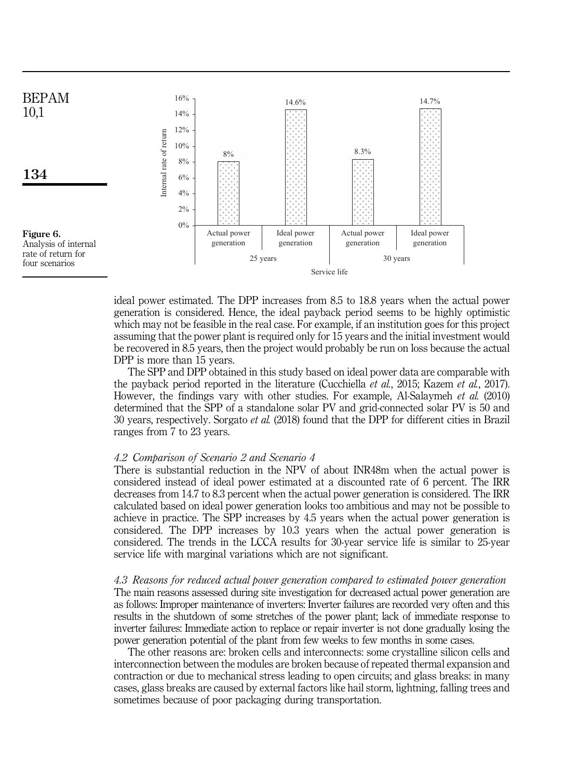

ideal power estimated. The DPP increases from 8.5 to 18.8 years when the actual power generation is considered. Hence, the ideal payback period seems to be highly optimistic which may not be feasible in the real case. For example, if an institution goes for this project assuming that the power plant is required only for 15 years and the initial investment would be recovered in 8.5 years, then the project would probably be run on loss because the actual DPP is more than 15 years.

The SPP and DPP obtained in this study based on ideal power data are comparable with the payback period reported in the literature (Cucchiella *et al.*, 2015; Kazem *et al.*, 2017). However, the findings vary with other studies. For example, Al-Salaymeh *et al.* (2010) determined that the SPP of a standalone solar PV and grid-connected solar PV is 50 and 30 years, respectively. Sorgato *et al.* (2018) found that the DPP for different cities in Brazil ranges from 7 to 23 years.

# *4.2 Comparison of Scenario 2 and Scenario 4*

There is substantial reduction in the NPV of about INR48m when the actual power is considered instead of ideal power estimated at a discounted rate of 6 percent. The IRR decreases from 14.7 to 8.3 percent when the actual power generation is considered. The IRR calculated based on ideal power generation looks too ambitious and may not be possible to achieve in practice. The SPP increases by 4.5 years when the actual power generation is considered. The DPP increases by 10.3 years when the actual power generation is considered. The trends in the LCCA results for 30-year service life is similar to 25-year service life with marginal variations which are not significant.

# *4.3 Reasons for reduced actual power generation compared to estimated power generation*

The main reasons assessed during site investigation for decreased actual power generation are as follows: Improper maintenance of inverters: Inverter failures are recorded very often and this results in the shutdown of some stretches of the power plant; lack of immediate response to inverter failures: Immediate action to replace or repair inverter is not done gradually losing the power generation potential of the plant from few weeks to few months in some cases.

The other reasons are: broken cells and interconnects: some crystalline silicon cells and interconnection between the modules are broken because of repeated thermal expansion and contraction or due to mechanical stress leading to open circuits; and glass breaks: in many cases, glass breaks are caused by external factors like hail storm, lightning, falling trees and sometimes because of poor packaging during transportation.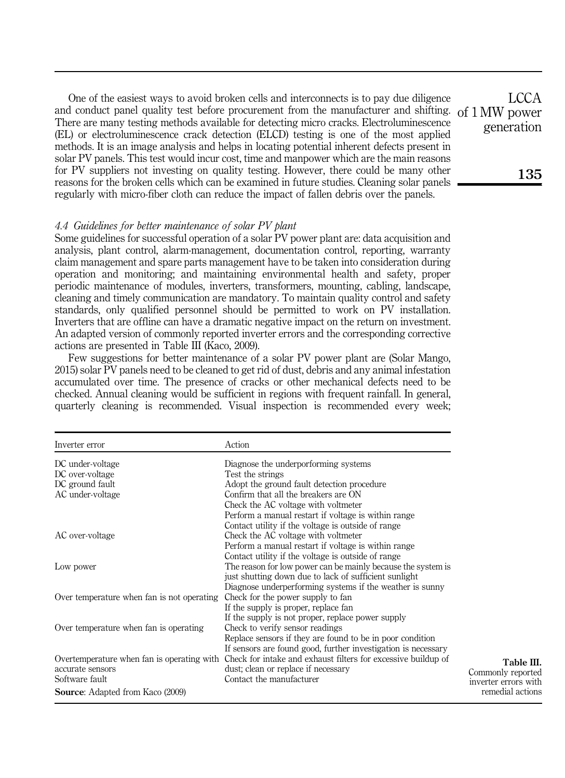One of the easiest ways to avoid broken cells and interconnects is to pay due diligence and conduct panel quality test before procurement from the manufacturer and shifting. of 1 MW power There are many testing methods available for detecting micro cracks. Electroluminescence (EL) or electroluminescence crack detection (ELCD) testing is one of the most applied methods. It is an image analysis and helps in locating potential inherent defects present in solar PV panels. This test would incur cost, time and manpower which are the main reasons for PV suppliers not investing on quality testing. However, there could be many other reasons for the broken cells which can be examined in future studies. Cleaning solar panels regularly with micro-fiber cloth can reduce the impact of fallen debris over the panels.

# *4.4 Guidelines for better maintenance of solar PV plant*

Some guidelines for successful operation of a solar PV power plant are: data acquisition and analysis, plant control, alarm-management, documentation control, reporting, warranty claim management and spare parts management have to be taken into consideration during operation and monitoring; and maintaining environmental health and safety, proper periodic maintenance of modules, inverters, transformers, mounting, cabling, landscape, cleaning and timely communication are mandatory. To maintain quality control and safety standards, only qualified personnel should be permitted to work on PV installation. Inverters that are offline can have a dramatic negative impact on the return on investment. An adapted version of commonly reported inverter errors and the corresponding corrective actions are presented in Table III (Kaco, 2009).

Few suggestions for better maintenance of a solar PV power plant are (Solar Mango, 2015) solar PV panels need to be cleaned to get rid of dust, debris and any animal infestation accumulated over time. The presence of cracks or other mechanical defects need to be checked. Annual cleaning would be sufficient in regions with frequent rainfall. In general, quarterly cleaning is recommended. Visual inspection is recommended every week;

| Inverter error                             | Action                                                        |                      |
|--------------------------------------------|---------------------------------------------------------------|----------------------|
| DC under-voltage                           | Diagnose the underporforming systems                          |                      |
| DC over-voltage                            | Test the strings                                              |                      |
| DC ground fault                            | Adopt the ground fault detection procedure                    |                      |
| AC under-voltage                           | Confirm that all the breakers are ON                          |                      |
|                                            | Check the AC voltage with voltmeter                           |                      |
|                                            | Perform a manual restart if voltage is within range           |                      |
|                                            | Contact utility if the voltage is outside of range            |                      |
| AC over-voltage                            | Check the AC voltage with voltmeter                           |                      |
|                                            | Perform a manual restart if voltage is within range           |                      |
|                                            | Contact utility if the voltage is outside of range            |                      |
| Low power                                  | The reason for low power can be mainly because the system is  |                      |
|                                            | just shutting down due to lack of sufficient sunlight         |                      |
|                                            | Diagnose underperforming systems if the weather is sunny      |                      |
| Over temperature when fan is not operating | Check for the power supply to fan                             |                      |
|                                            | If the supply is proper, replace fan                          |                      |
|                                            | If the supply is not proper, replace power supply             |                      |
| Over temperature when fan is operating     | Check to verify sensor readings                               |                      |
|                                            | Replace sensors if they are found to be in poor condition     |                      |
|                                            | If sensors are found good, further investigation is necessary |                      |
| Overtemperature when fan is operating with | Check for intake and exhaust filters for excessive buildup of | Table III.           |
| accurate sensors                           | dust; clean or replace if necessary                           | Commonly reported    |
| Software fault                             | Contact the manufacturer                                      | inverter errors with |
| <b>Source:</b> Adapted from Kaco (2009)    |                                                               | remedial actions     |

LCCA generation

135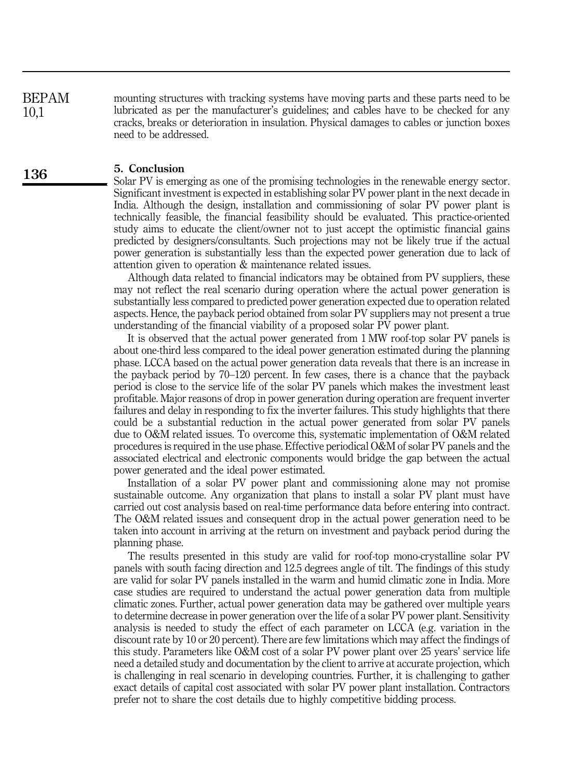mounting structures with tracking systems have moving parts and these parts need to be lubricated as per the manufacturer's guidelines; and cables have to be checked for any cracks, breaks or deterioration in insulation. Physical damages to cables or junction boxes need to be addressed. BEPAM 10,1

## 5. Conclusion

Solar PV is emerging as one of the promising technologies in the renewable energy sector. Significant investment is expected in establishing solar PV power plant in the next decade in India. Although the design, installation and commissioning of solar PV power plant is technically feasible, the financial feasibility should be evaluated. This practice-oriented study aims to educate the client/owner not to just accept the optimistic financial gains predicted by designers/consultants. Such projections may not be likely true if the actual power generation is substantially less than the expected power generation due to lack of attention given to operation & maintenance related issues.

Although data related to financial indicators may be obtained from PV suppliers, these may not reflect the real scenario during operation where the actual power generation is substantially less compared to predicted power generation expected due to operation related aspects. Hence, the payback period obtained from solar PV suppliers may not present a true understanding of the financial viability of a proposed solar PV power plant.

It is observed that the actual power generated from 1 MW roof-top solar PV panels is about one-third less compared to the ideal power generation estimated during the planning phase. LCCA based on the actual power generation data reveals that there is an increase in the payback period by 70–120 percent. In few cases, there is a chance that the payback period is close to the service life of the solar PV panels which makes the investment least profitable. Major reasons of drop in power generation during operation are frequent inverter failures and delay in responding to fix the inverter failures. This study highlights that there could be a substantial reduction in the actual power generated from solar PV panels due to O&M related issues. To overcome this, systematic implementation of O&M related procedures is required in the use phase. Effective periodical O&M of solar PV panels and the associated electrical and electronic components would bridge the gap between the actual power generated and the ideal power estimated.

Installation of a solar PV power plant and commissioning alone may not promise sustainable outcome. Any organization that plans to install a solar PV plant must have carried out cost analysis based on real-time performance data before entering into contract. The O&M related issues and consequent drop in the actual power generation need to be taken into account in arriving at the return on investment and payback period during the planning phase.

The results presented in this study are valid for roof-top mono-crystalline solar PV panels with south facing direction and 12.5 degrees angle of tilt. The findings of this study are valid for solar PV panels installed in the warm and humid climatic zone in India. More case studies are required to understand the actual power generation data from multiple climatic zones. Further, actual power generation data may be gathered over multiple years to determine decrease in power generation over the life of a solar PV power plant. Sensitivity analysis is needed to study the effect of each parameter on LCCA (e.g. variation in the discount rate by 10 or 20 percent). There are few limitations which may affect the findings of this study. Parameters like O&M cost of a solar PV power plant over 25 years' service life need a detailed study and documentation by the client to arrive at accurate projection, which is challenging in real scenario in developing countries. Further, it is challenging to gather exact details of capital cost associated with solar PV power plant installation. Contractors prefer not to share the cost details due to highly competitive bidding process.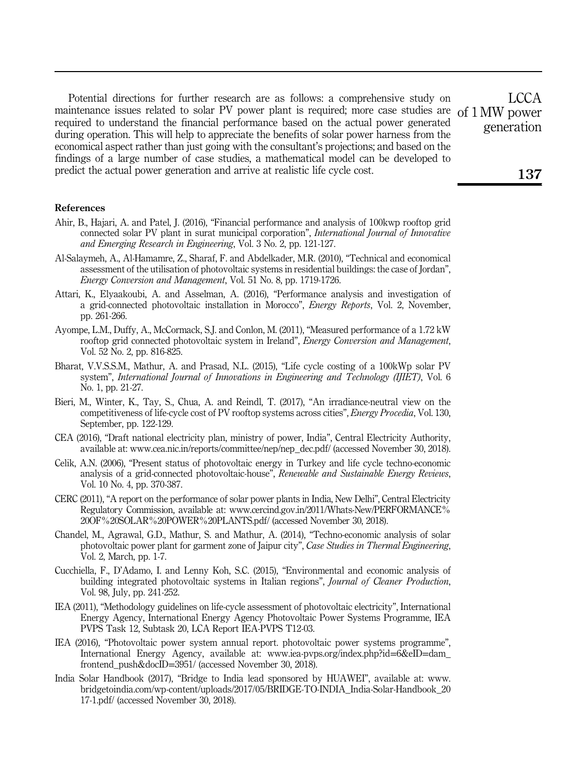Potential directions for further research are as follows: a comprehensive study on maintenance issues related to solar PV power plant is required; more case studies are of 1 MW power required to understand the financial performance based on the actual power generated during operation. This will help to appreciate the benefits of solar power harness from the economical aspect rather than just going with the consultant's projections; and based on the findings of a large number of case studies, a mathematical model can be developed to predict the actual power generation and arrive at realistic life cycle cost.

#### References

- Ahir, B., Hajari, A. and Patel, J. (2016), "Financial performance and analysis of 100kwp rooftop grid connected solar PV plant in surat municipal corporation", *International Journal of Innovative and Emerging Research in Engineering*, Vol. 3 No. 2, pp. 121-127.
- Al-Salaymeh, A., Al-Hamamre, Z., Sharaf, F. and Abdelkader, M.R. (2010), "Technical and economical assessment of the utilisation of photovoltaic systems in residential buildings: the case of Jordan", *Energy Conversion and Management*, Vol. 51 No. 8, pp. 1719-1726.
- Attari, K., Elyaakoubi, A. and Asselman, A. (2016), "Performance analysis and investigation of a grid-connected photovoltaic installation in Morocco", *Energy Reports*, Vol. 2, November, pp. 261-266.
- Ayompe, L.M., Duffy, A., McCormack, S.J. and Conlon, M. (2011), "Measured performance of a 1.72 kW rooftop grid connected photovoltaic system in Ireland", *Energy Conversion and Management*, Vol. 52 No. 2, pp. 816-825.
- Bharat, V.V.S.S.M., Mathur, A. and Prasad, N.L. (2015), "Life cycle costing of a 100kWp solar PV system", *International Journal of Innovations in Engineering and Technology (IJIET)*, Vol. 6 No. 1, pp. 21-27.
- Bieri, M., Winter, K., Tay, S., Chua, A. and Reindl, T. (2017), "An irradiance-neutral view on the competitiveness of life-cycle cost of PV rooftop systems across cities", *Energy Procedia*, Vol. 130, September, pp. 122-129.
- CEA (2016), "Draft national electricity plan, ministry of power, India", Central Electricity Authority, available at: www.cea.nic.in/reports/committee/nep/nep\_dec.pdf/ (accessed November 30, 2018).
- Celik, A.N. (2006), "Present status of photovoltaic energy in Turkey and life cycle techno-economic analysis of a grid-connected photovoltaic-house", *Renewable and Sustainable Energy Reviews*, Vol. 10 No. 4, pp. 370-387.
- CERC (2011), "A report on the performance of solar power plants in India, New Delhi", Central Electricity Regulatory Commission, available at: www.cercind.gov.in/2011/Whats-New/PERFORMANCE% 20OF%20SOLAR%20POWER%20PLANTS.pdf/ (accessed November 30, 2018).
- Chandel, M., Agrawal, G.D., Mathur, S. and Mathur, A. (2014), "Techno-economic analysis of solar photovoltaic power plant for garment zone of Jaipur city", *Case Studies in Thermal Engineering*, Vol. 2, March, pp. 1-7.
- Cucchiella, F., D'Adamo, I. and Lenny Koh, S.C. (2015), "Environmental and economic analysis of building integrated photovoltaic systems in Italian regions", *Journal of Cleaner Production*, Vol. 98, July, pp. 241-252.
- IEA (2011), "Methodology guidelines on life-cycle assessment of photovoltaic electricity", International Energy Agency, International Energy Agency Photovoltaic Power Systems Programme, IEA PVPS Task 12, Subtask 20, LCA Report IEA-PVPS T12-03.
- IEA (2016), "Photovoltaic power system annual report. photovoltaic power systems programme", International Energy Agency, available at: www.iea-pvps.org/index.php?id=6&eID=dam\_ frontend\_push&docID=3951/ (accessed November 30, 2018).
- India Solar Handbook (2017), "Bridge to India lead sponsored by HUAWEI", available at: www. bridgetoindia.com/wp-content/uploads/2017/05/BRIDGE-TO-INDIA\_India-Solar-Handbook\_20 17-1.pdf/ (accessed November 30, 2018).

LCCA generation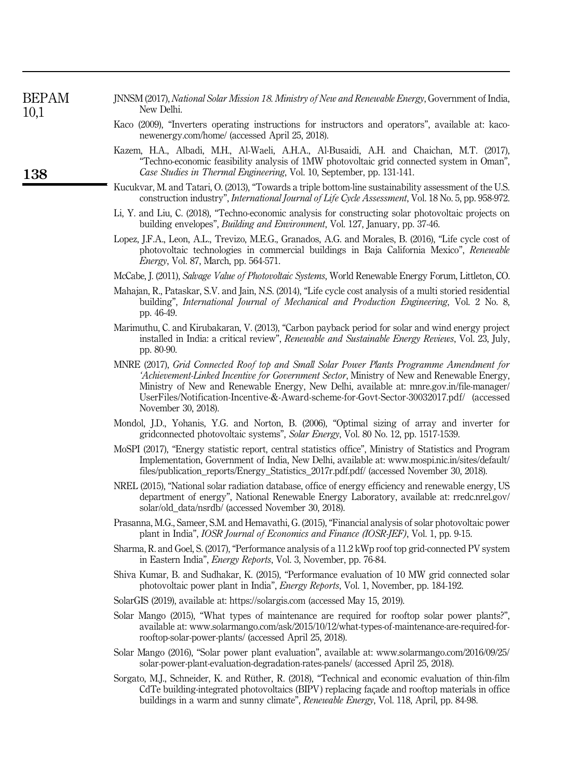| BEPAM | INNSM (2017), National Solar Mission 18. Ministry of New and Renewable Energy, Government of India, |
|-------|-----------------------------------------------------------------------------------------------------|
| 10,1  | New Delhi.                                                                                          |

138

- Kaco (2009), "Inverters operating instructions for instructors and operators", available at: kaconewenergy.com/home/ (accessed April 25, 2018).
- Kazem, H.A., Albadi, M.H., Al-Waeli, A.H.A., Al-Busaidi, A.H. and Chaichan, M.T. (2017), "Techno-economic feasibility analysis of 1MW photovoltaic grid connected system in Oman", *Case Studies in Thermal Engineering*, Vol. 10, September, pp. 131-141.
- Kucukvar, M. and Tatari, O. (2013), "Towards a triple bottom-line sustainability assessment of the U.S. construction industry", *International Journal of Life Cycle Assessment*, Vol. 18 No. 5, pp. 958-972.
- Li, Y. and Liu, C. (2018), "Techno-economic analysis for constructing solar photovoltaic projects on building envelopes", *Building and Environment*, Vol. 127, January, pp. 37-46.
- Lopez, J.F.A., Leon, A.L., Trevizo, M.E.G., Granados, A.G. and Morales, B. (2016), "Life cycle cost of photovoltaic technologies in commercial buildings in Baja California Mexico", *Renewable Energy*, Vol. 87, March, pp. 564-571.
- McCabe, J. (2011), *Salvage Value of Photovoltaic Systems*, World Renewable Energy Forum, Littleton, CO.
- Mahajan, R., Pataskar, S.V. and Jain, N.S. (2014), "Life cycle cost analysis of a multi storied residential building", *International Journal of Mechanical and Production Engineering*, Vol. 2 No. 8, pp. 46-49.
- Marimuthu, C. and Kirubakaran, V. (2013), "Carbon payback period for solar and wind energy project installed in India: a critical review", *Renewable and Sustainable Energy Reviews*, Vol. 23, July, pp. 80-90.
- MNRE (2017), *Grid Connected Roof top and Small Solar Power Plants Programme Amendment for* '*Achievement-Linked Incentive for Government Sector*, Ministry of New and Renewable Energy, Ministry of New and Renewable Energy, New Delhi, available at: mnre.gov.in/file-manager/ UserFiles/Notification-Incentive-&-Award-scheme-for-Govt-Sector-30032017.pdf/ (accessed November 30, 2018).
- Mondol, J.D., Yohanis, Y.G. and Norton, B. (2006), "Optimal sizing of array and inverter for gridconnected photovoltaic systems", *Solar Energy*, Vol. 80 No. 12, pp. 1517-1539.
- MoSPI (2017), "Energy statistic report, central statistics office", Ministry of Statistics and Program Implementation, Government of India, New Delhi, available at: www.mospi.nic.in/sites/default/ files/publication\_reports/Energy\_Statistics\_2017r.pdf.pdf/ (accessed November 30, 2018).
- NREL (2015), "National solar radiation database, office of energy efficiency and renewable energy, US department of energy", National Renewable Energy Laboratory, available at: rredc.nrel.gov/ solar/old\_data/nsrdb/ (accessed November 30, 2018).
- Prasanna, M.G., Sameer, S.M. and Hemavathi, G. (2015), "Financial analysis of solar photovoltaic power plant in India", *IOSR Journal of Economics and Finance (IOSR-JEF)*, Vol. 1, pp. 9-15.
- Sharma, R. and Goel, S. (2017), "Performance analysis of a 11.2 kWp roof top grid-connected PV system in Eastern India", *Energy Reports*, Vol. 3, November, pp. 76-84.
- Shiva Kumar, B. and Sudhakar, K. (2015), "Performance evaluation of 10 MW grid connected solar photovoltaic power plant in India", *Energy Reports*, Vol. 1, November, pp. 184-192.
- SolarGIS (2019), available at: https://solargis.com (accessed May 15, 2019).
- Solar Mango (2015), "What types of maintenance are required for rooftop solar power plants?", available at: www.solarmango.com/ask/2015/10/12/what-types-of-maintenance-are-required-forrooftop-solar-power-plants/ (accessed April 25, 2018).
- Solar Mango (2016), "Solar power plant evaluation", available at: www.solarmango.com/2016/09/25/ solar-power-plant-evaluation-degradation-rates-panels/ (accessed April 25, 2018).
- Sorgato, M.J., Schneider, K. and Rüther, R. (2018), "Technical and economic evaluation of thin-film CdTe building-integrated photovoltaics (BIPV) replacing façade and rooftop materials in office buildings in a warm and sunny climate", *Renewable Energy*, Vol. 118, April, pp. 84-98.